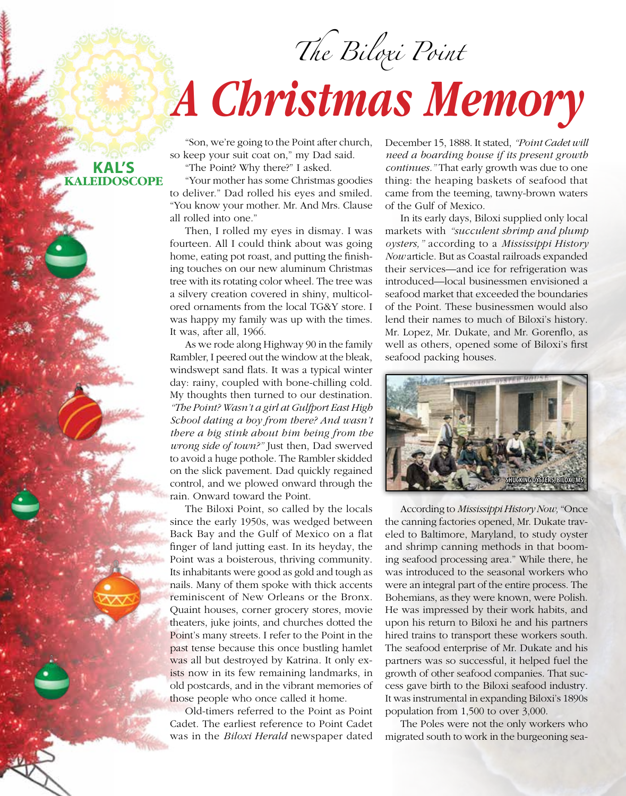## *The Biloxi Point A Christmas Memory*

"Son, we're going to the Point after church, so keep your suit coat on," my Dad said.

"The Point? Why there?" I asked.

"Your mother has some Christmas goodies to deliver." Dad rolled his eyes and smiled. "You know your mother. Mr. And Mrs. Clause all rolled into one."

Then, I rolled my eyes in dismay. I was fourteen. All I could think about was going home, eating pot roast, and putting the finishing touches on our new aluminum Christmas tree with its rotating color wheel. The tree was a silvery creation covered in shiny, multicolored ornaments from the local TG&Y store. I was happy my family was up with the times. It was, after all, 1966.

As we rode along Highway 90 in the family Rambler, I peered out the window at the bleak, windswept sand flats. It was a typical winter day: rainy, coupled with bone-chilling cold. My thoughts then turned to our destination. *"The Point? Wasn't a girl at Gulfport East High School dating a boy from there? And wasn't there a big stink about him being from the wrong side of town?"* Just then, Dad swerved to avoid a huge pothole. The Rambler skidded on the slick pavement. Dad quickly regained control, and we plowed onward through the rain. Onward toward the Point.

The Biloxi Point, so called by the locals since the early 1950s, was wedged between Back Bay and the Gulf of Mexico on a flat finger of land jutting east. In its heyday, the Point was a boisterous, thriving community. Its inhabitants were good as gold and tough as nails. Many of them spoke with thick accents reminiscent of New Orleans or the Bronx. Quaint houses, corner grocery stores, movie theaters, juke joints, and churches dotted the Point's many streets. I refer to the Point in the past tense because this once bustling hamlet was all but destroyed by Katrina. It only exists now in its few remaining landmarks, in old postcards, and in the vibrant memories of those people who once called it home.

Old-timers referred to the Point as Point Cadet. The earliest reference to Point Cadet was in the *Biloxi Herald* newspaper dated December 15, 1888. It stated, *"Point Cadet will need a boarding house if its present growth continues."* That early growth was due to one thing: the heaping baskets of seafood that came from the teeming, tawny-brown waters of the Gulf of Mexico.

In its early days, Biloxi supplied only local markets with *"succulent shrimp and plump oysters,"* according to a *Mississippi History Now* article. But as Coastal railroads expanded their services—and ice for refrigeration was introduced—local businessmen envisioned a seafood market that exceeded the boundaries of the Point. These businessmen would also lend their names to much of Biloxi's history. Mr. Lopez, Mr. Dukate, and Mr. Gorenflo, as well as others, opened some of Biloxi's first seafood packing houses.



According to *Mississippi History Now,* "Once the canning factories opened, Mr. Dukate traveled to Baltimore, Maryland, to study oyster and shrimp canning methods in that booming seafood processing area." While there, he was introduced to the seasonal workers who were an integral part of the entire process. The Bohemians, as they were known, were Polish. He was impressed by their work habits, and upon his return to Biloxi he and his partners hired trains to transport these workers south. The seafood enterprise of Mr. Dukate and his partners was so successful, it helped fuel the growth of other seafood companies. That success gave birth to the Biloxi seafood industry. It was instrumental in expanding Biloxi's 1890s population from 1,500 to over 3,000.

The Poles were not the only workers who migrated south to work in the burgeoning sea-

## **Kal's Kaleidoscope**